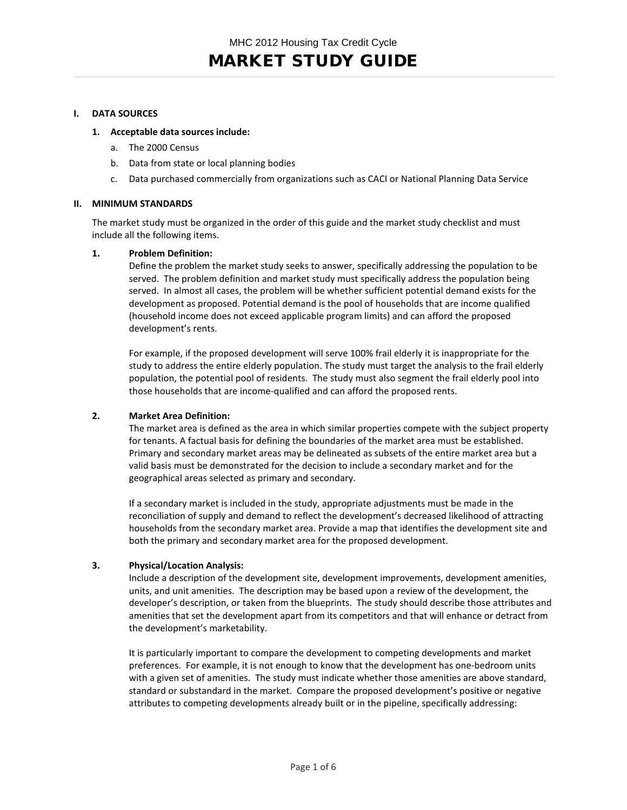# MARKET STUDY GUIDE

## **I. DATA SOURCES**

## **1. Acceptable data sources include:**

- a. The 2000 Census
- b. Data from state or local planning bodies
- c. Data purchased commercially from organizations such as CACI or National Planning Data Service

#### **II. MINIMUM STANDARDS**

The market study must be organized in the order of this guide and the market study checklist and must include all the following items.

## **1. Problem Definition:**

Define the problem the market study seeks to answer, specifically addressing the population to be served. The problem definition and market study must specifically address the population being served. In almost all cases, the problem will be whether sufficient potential demand exists for the development as proposed. Potential demand is the pool of households that are income qualified (household income does not exceed applicable program limits) and can afford the proposed development's rents.

For example, if the proposed development will serve 100% frail elderly it is inappropriate for the study to address the entire elderly population. The study must target the analysis to the frail elderly population, the potential pool of residents. The study must also segment the frail elderly pool into those households that are income-qualified and can afford the proposed rents.

## **2. Market Area Definition:**

The market area is defined as the area in which similar properties compete with the subject property for tenants. A factual basis for defining the boundaries of the market area must be established. Primary and secondary market areas may be delineated as subsets of the entire market area but a valid basis must be demonstrated for the decision to include a secondary market and for the geographical areas selected as primary and secondary.

If a secondary market is included in the study, appropriate adjustments must be made in the reconciliation of supply and demand to reflect the development's decreased likelihood of attracting households from the secondary market area. Provide a map that identifies the development site and both the primary and secondary market area for the proposed development.

## **3. Physical/Location Analysis:**

Include a description of the development site, development improvements, development amenities, units, and unit amenities. The description may be based upon a review of the development, the developer's description, or taken from the blueprints. The study should describe those attributes and amenities that set the development apart from its competitors and that will enhance or detract from the development's marketability.

It is particularly important to compare the development to competing developments and market preferences. For example, it is not enough to know that the development has one-bedroom units with a given set of amenities. The study must indicate whether those amenities are above standard, standard or substandard in the market. Compare the proposed development's positive or negative attributes to competing developments already built or in the pipeline, specifically addressing: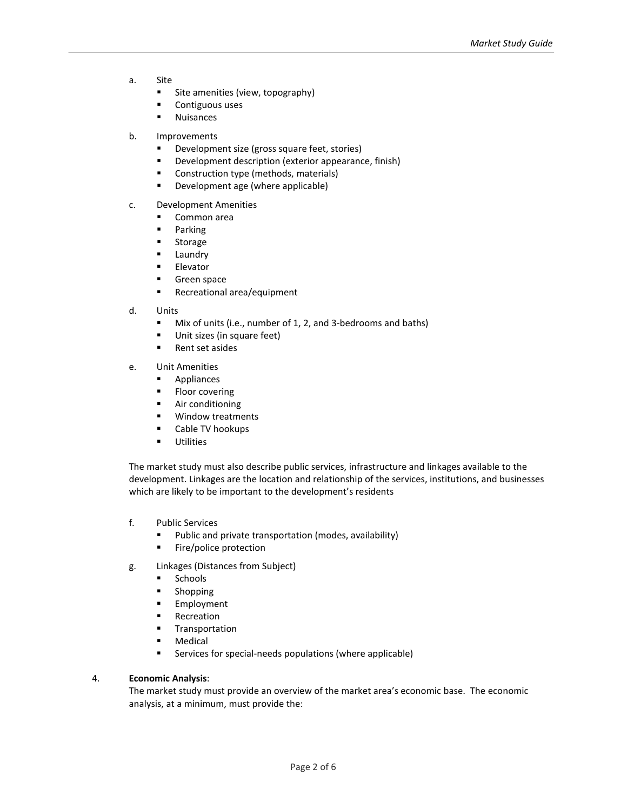- a. Site
	- **Site amenities (view, topography)**
	- **•** Contiguous uses
	- Nuisances
- b. Improvements
	- **•** Development size (gross square feet, stories)
	- Development description (exterior appearance, finish)
	- **Construction type (methods, materials)**
	- **•** Development age (where applicable)
- c. Development Amenities
	- Common area
	- **Parking**
	- **Storage**
	- Laundry
	- **Elevator**
	- **Green space**
	- **Recreational area/equipment**
- d. Units
	- Mix of units (i.e., number of 1, 2, and 3-bedrooms and baths)
	- Unit sizes (in square feet)
	- Rent set asides
- e. Unit Amenities
	- **Appliances**
	- **Floor covering**
	- **Air conditioning**
	- **Window treatments**
	- **EXECABLE TV hookups**
	- **Utilities**

The market study must also describe public services, infrastructure and linkages available to the development. Linkages are the location and relationship of the services, institutions, and businesses which are likely to be important to the development's residents

- f. Public Services
	- **Public and private transportation (modes, availability)**
	- **Fire/police protection**
- g. Linkages (Distances from Subject)
	- **Schools**
	- **Shopping**
	- **Employment**
	- Recreation
	- **Transportation**
	- Medical
	- Services for special-needs populations (where applicable)

#### 4. **Economic Analysis**:

The market study must provide an overview of the market area's economic base. The economic analysis, at a minimum, must provide the: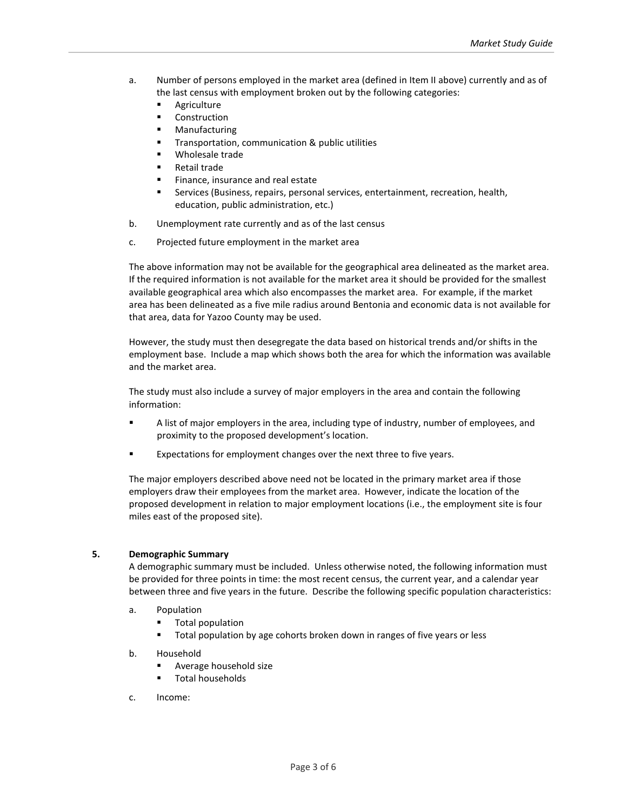- a. Number of persons employed in the market area (defined in Item II above) currently and as of the last census with employment broken out by the following categories:
	- **Agriculture**
	- **Construction**
	- Manufacturing
	- **Transportation, communication & public utilities**
	- Wholesale trade
	- Retail trade
	- Finance, insurance and real estate
	- Services (Business, repairs, personal services, entertainment, recreation, health, education, public administration, etc.)
- b. Unemployment rate currently and as of the last census
- c. Projected future employment in the market area

The above information may not be available for the geographical area delineated as the market area. If the required information is not available for the market area it should be provided for the smallest available geographical area which also encompasses the market area. For example, if the market area has been delineated as a five mile radius around Bentonia and economic data is not available for that area, data for Yazoo County may be used.

However, the study must then desegregate the data based on historical trends and/or shifts in the employment base. Include a map which shows both the area for which the information was available and the market area.

The study must also include a survey of major employers in the area and contain the following information:

- A list of major employers in the area, including type of industry, number of employees, and proximity to the proposed development's location.
- Expectations for employment changes over the next three to five years.

The major employers described above need not be located in the primary market area if those employers draw their employees from the market area. However, indicate the location of the proposed development in relation to major employment locations (i.e., the employment site is four miles east of the proposed site).

#### **5. Demographic Summary**

A demographic summary must be included. Unless otherwise noted, the following information must be provided for three points in time: the most recent census, the current year, and a calendar year between three and five years in the future. Describe the following specific population characteristics:

- a. Population
	- Total population
	- **Total population by age cohorts broken down in ranges of five years or less**
- b. Household
	- **Average household size**
	- Total households
- c. Income: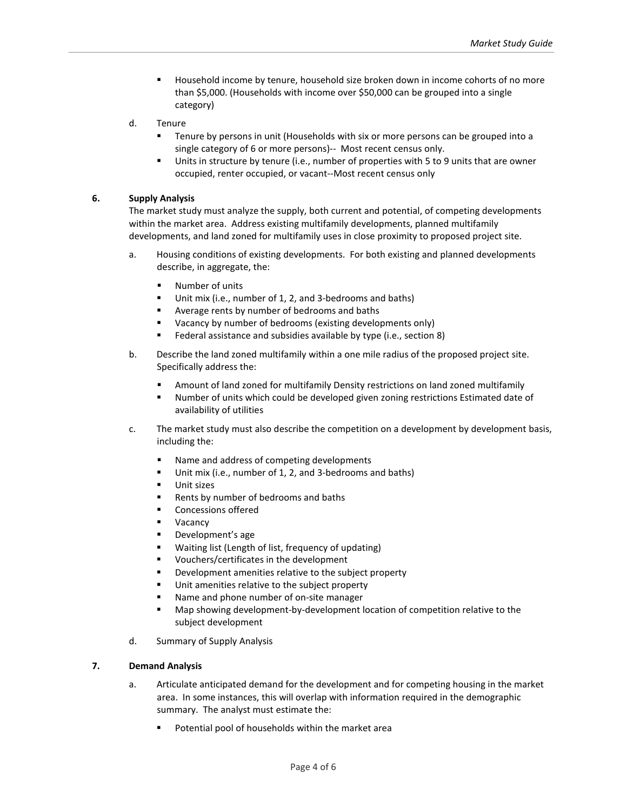- Household income by tenure, household size broken down in income cohorts of no more than \$5,000. (Households with income over \$50,000 can be grouped into a single category)
- d. Tenure
	- Tenure by persons in unit (Households with six or more persons can be grouped into a single category of 6 or more persons)-- Most recent census only.
	- Units in structure by tenure (i.e., number of properties with 5 to 9 units that are owner occupied, renter occupied, or vacant--Most recent census only

## **6. Supply Analysis**

The market study must analyze the supply, both current and potential, of competing developments within the market area. Address existing multifamily developments, planned multifamily developments, and land zoned for multifamily uses in close proximity to proposed project site.

- a. Housing conditions of existing developments. For both existing and planned developments describe, in aggregate, the:
	- **Number of units**
	- Unit mix (i.e., number of 1, 2, and 3-bedrooms and baths)
	- Average rents by number of bedrooms and baths
	- Vacancy by number of bedrooms (existing developments only)
	- Federal assistance and subsidies available by type (i.e., section 8)
- b. Describe the land zoned multifamily within a one mile radius of the proposed project site. Specifically address the:
	- Amount of land zoned for multifamily Density restrictions on land zoned multifamily
	- Number of units which could be developed given zoning restrictions Estimated date of availability of utilities
- c. The market study must also describe the competition on a development by development basis, including the:
	- Name and address of competing developments
	- Unit mix (i.e., number of 1, 2, and 3-bedrooms and baths)
	- Unit sizes
	- Rents by number of bedrooms and baths
	- **Concessions offered**
	- Vacancy
	- Development's age
	- Waiting list (Length of list, frequency of updating)
	- Vouchers/certificates in the development
	- Development amenities relative to the subject property
	- Unit amenities relative to the subject property
	- Name and phone number of on-site manager
	- Map showing development-by-development location of competition relative to the subject development
- d. Summary of Supply Analysis

## **7. Demand Analysis**

- a. Articulate anticipated demand for the development and for competing housing in the market area. In some instances, this will overlap with information required in the demographic summary. The analyst must estimate the:
	- Potential pool of households within the market area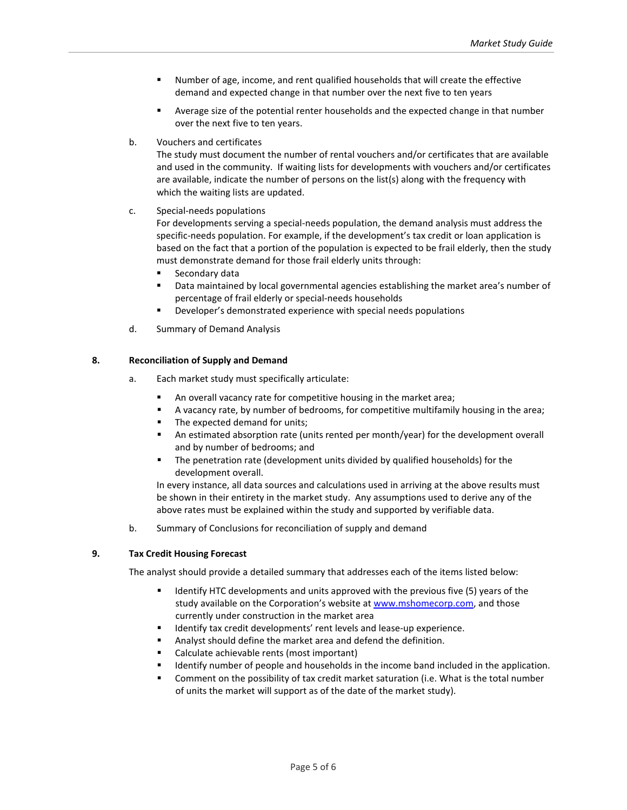- Number of age, income, and rent qualified households that will create the effective demand and expected change in that number over the next five to ten years
- Average size of the potential renter households and the expected change in that number over the next five to ten years.
- b. Vouchers and certificates

The study must document the number of rental vouchers and/or certificates that are available and used in the community. If waiting lists for developments with vouchers and/or certificates are available, indicate the number of persons on the list(s) along with the frequency with which the waiting lists are updated.

c. Special-needs populations

For developments serving a special-needs population, the demand analysis must address the specific-needs population. For example, if the development's tax credit or loan application is based on the fact that a portion of the population is expected to be frail elderly, then the study must demonstrate demand for those frail elderly units through:

- **Secondary data**
- **Data maintained by local governmental agencies establishing the market area's number of** percentage of frail elderly or special-needs households
- **Developer's demonstrated experience with special needs populations**
- d. Summary of Demand Analysis

## **8. Reconciliation of Supply and Demand**

- a. Each market study must specifically articulate:
	- **An overall vacancy rate for competitive housing in the market area;**
	- A vacancy rate, by number of bedrooms, for competitive multifamily housing in the area;
	- The expected demand for units;
	- An estimated absorption rate (units rented per month/year) for the development overall and by number of bedrooms; and
	- The penetration rate (development units divided by qualified households) for the development overall.

In every instance, all data sources and calculations used in arriving at the above results must be shown in their entirety in the market study. Any assumptions used to derive any of the above rates must be explained within the study and supported by verifiable data.

b. Summary of Conclusions for reconciliation of supply and demand

#### **9. Tax Credit Housing Forecast**

The analyst should provide a detailed summary that addresses each of the items listed below:

- Identify HTC developments and units approved with the previous five (5) years of the study available on the Corporation's website at [www.mshomecorp.com,](http://www.mshomecorp.com/) and those currently under construction in the market area
- **IDENTIFY 18 IDENTIFY** 1 denoted the velopments' rent levels and lease-up experience.
- Analyst should define the market area and defend the definition.
- Calculate achievable rents (most important)
- **IDENTIFY** number of people and households in the income band included in the application.
- Comment on the possibility of tax credit market saturation (i.e. What is the total number of units the market will support as of the date of the market study).